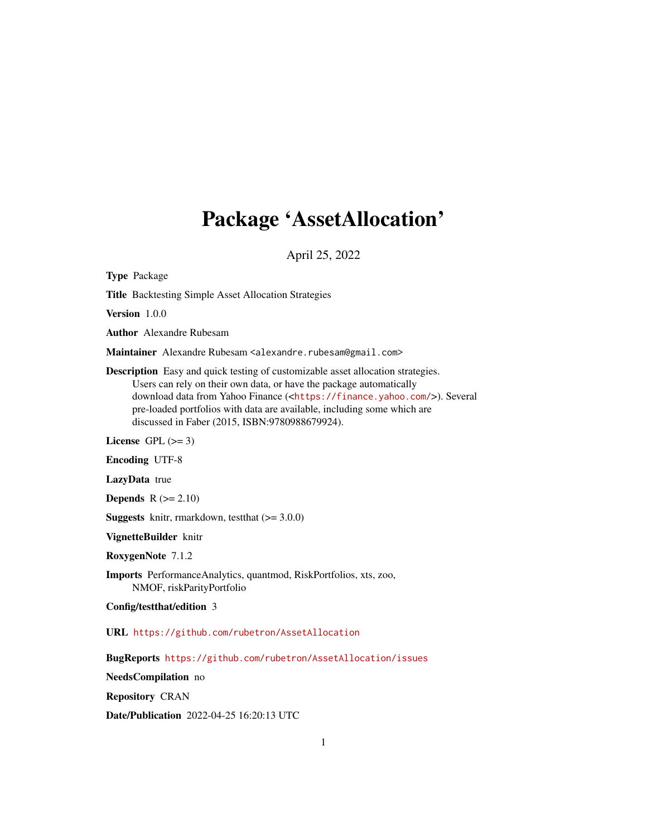## Package 'AssetAllocation'

April 25, 2022

Type Package Title Backtesting Simple Asset Allocation Strategies Version 1.0.0 Author Alexandre Rubesam Maintainer Alexandre Rubesam <alexandre.rubesam@gmail.com> Description Easy and quick testing of customizable asset allocation strategies. Users can rely on their own data, or have the package automatically download data from Yahoo Finance (<<https://finance.yahoo.com/>>). Several pre-loaded portfolios with data are available, including some which are discussed in Faber (2015, ISBN:9780988679924). License GPL  $(>= 3)$ Encoding UTF-8 LazyData true **Depends**  $R$  ( $>= 2.10$ ) **Suggests** knitr, rmarkdown, test that  $(>= 3.0.0)$ VignetteBuilder knitr RoxygenNote 7.1.2 Imports PerformanceAnalytics, quantmod, RiskPortfolios, xts, zoo, NMOF, riskParityPortfolio Config/testthat/edition 3 URL <https://github.com/rubetron/AssetAllocation> BugReports <https://github.com/rubetron/AssetAllocation/issues> NeedsCompilation no

Repository CRAN

Date/Publication 2022-04-25 16:20:13 UTC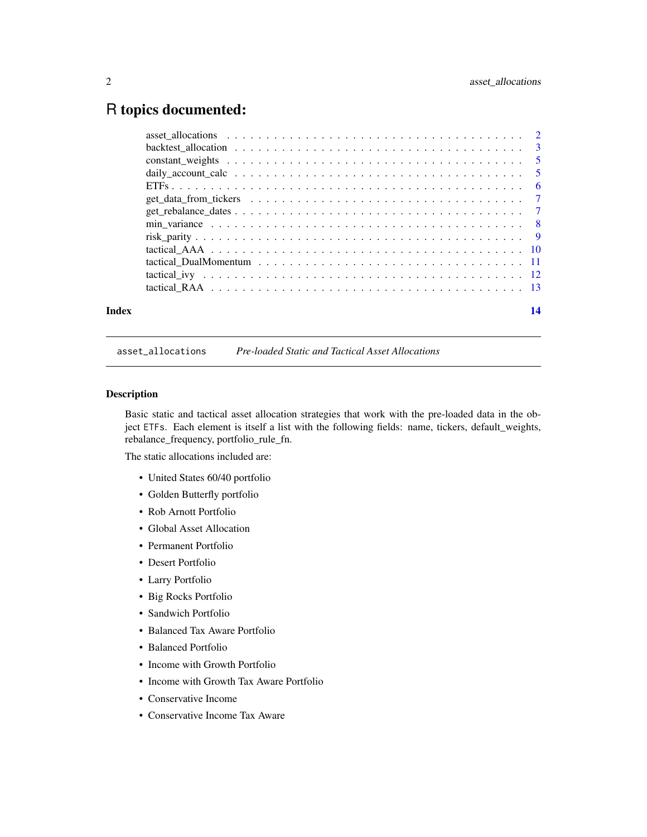### <span id="page-1-0"></span>R topics documented:

| Index | 14 |
|-------|----|
|       |    |
|       |    |
|       |    |
|       |    |
|       |    |
|       |    |
|       |    |
|       |    |
|       |    |
|       |    |
|       |    |
|       |    |
|       |    |

asset\_allocations *Pre-loaded Static and Tactical Asset Allocations*

#### Description

Basic static and tactical asset allocation strategies that work with the pre-loaded data in the object ETFs. Each element is itself a list with the following fields: name, tickers, default\_weights, rebalance\_frequency, portfolio\_rule\_fn.

The static allocations included are:

- United States 60/40 portfolio
- Golden Butterfly portfolio
- Rob Arnott Portfolio
- Global Asset Allocation
- Permanent Portfolio
- Desert Portfolio
- Larry Portfolio
- Big Rocks Portfolio
- Sandwich Portfolio
- Balanced Tax Aware Portfolio
- Balanced Portfolio
- Income with Growth Portfolio
- Income with Growth Tax Aware Portfolio
- Conservative Income
- Conservative Income Tax Aware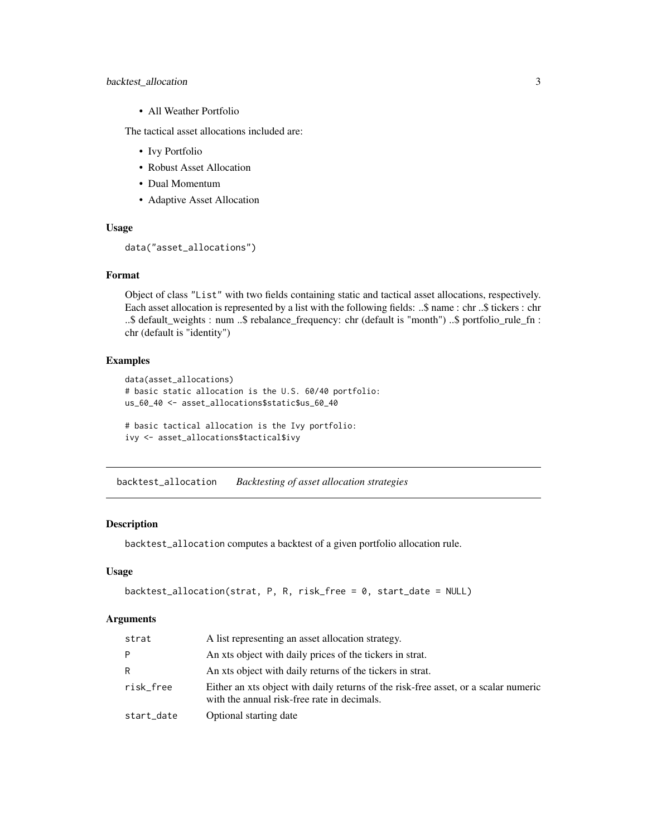#### <span id="page-2-0"></span>backtest\_allocation 3

• All Weather Portfolio

The tactical asset allocations included are:

- Ivy Portfolio
- Robust Asset Allocation
- Dual Momentum
- Adaptive Asset Allocation

#### Usage

```
data("asset_allocations")
```
#### Format

Object of class "List" with two fields containing static and tactical asset allocations, respectively. Each asset allocation is represented by a list with the following fields: ..\$ name : chr ..\$ tickers : chr ..\$ default\_weights : num ..\$ rebalance\_frequency: chr (default is "month") ..\$ portfolio\_rule\_fn : chr (default is "identity")

#### Examples

```
data(asset_allocations)
# basic static allocation is the U.S. 60/40 portfolio:
us_60_40 <- asset_allocations$static$us_60_40
```

```
# basic tactical allocation is the Ivy portfolio:
ivy <- asset_allocations$tactical$ivy
```
backtest\_allocation *Backtesting of asset allocation strategies*

#### Description

backtest\_allocation computes a backtest of a given portfolio allocation rule.

#### Usage

```
backtest_allocation(strat, P, R, risk_free = 0, start_date = NULL)
```
#### Arguments

| strat      | A list representing an asset allocation strategy.                                                                                  |
|------------|------------------------------------------------------------------------------------------------------------------------------------|
| P          | An xts object with daily prices of the tickers in strat.                                                                           |
| R          | An xts object with daily returns of the tickers in strat.                                                                          |
| risk_free  | Either an xts object with daily returns of the risk-free asset, or a scalar numeric<br>with the annual risk-free rate in decimals. |
| start_date | Optional starting date                                                                                                             |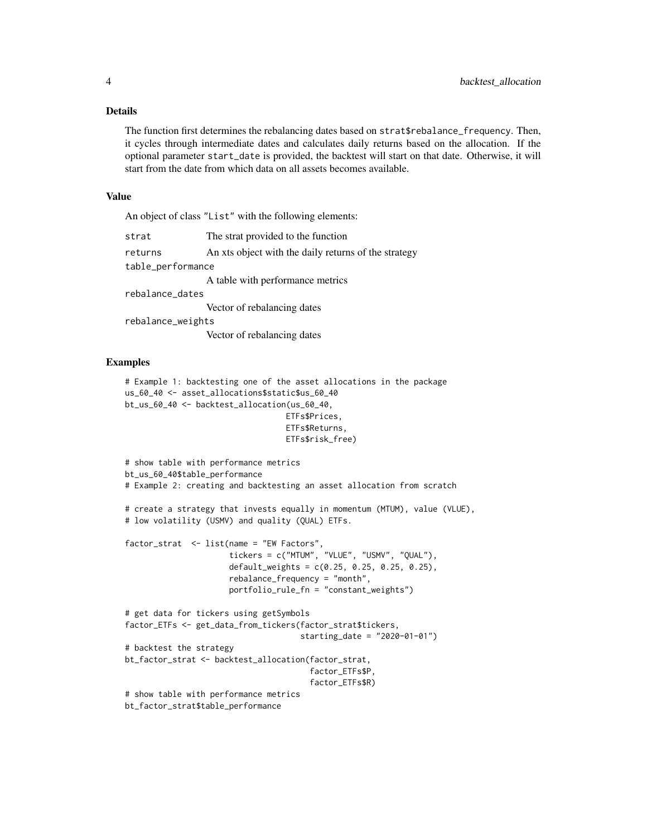#### Details

The function first determines the rebalancing dates based on strat\$rebalance\_frequency. Then, it cycles through intermediate dates and calculates daily returns based on the allocation. If the optional parameter start\_date is provided, the backtest will start on that date. Otherwise, it will start from the date from which data on all assets becomes available.

#### Value

An object of class "List" with the following elements:

| strat             | The strat provided to the function                   |
|-------------------|------------------------------------------------------|
| returns           | An xts object with the daily returns of the strategy |
| table_performance |                                                      |
|                   | A table with performance metrics                     |
| rebalance_dates   |                                                      |
|                   | Vector of rebalancing dates                          |
| rebalance_weights |                                                      |
|                   | Vector of rebalancing dates                          |

```
# Example 1: backtesting one of the asset allocations in the package
us_60_40 <- asset_allocations$static$us_60_40
bt_us_60_40 <- backtest_allocation(us_60_40,
                                  ETFs$Prices,
                                  ETFs$Returns,
                                  ETFs$risk_free)
# show table with performance metrics
bt_us_60_40$table_performance
# Example 2: creating and backtesting an asset allocation from scratch
# create a strategy that invests equally in momentum (MTUM), value (VLUE),
# low volatility (USMV) and quality (QUAL) ETFs.
factor_strat <- list(name = "EW Factors",
                      tickers = c("MTUM", "VLUE", "USMV", "QUAL"),
                      default_weights = c(0.25, 0.25, 0.25, 0.25),
                      rebalance_frequency = "month",
                      portfolio_rule_fn = "constant_weights")
# get data for tickers using getSymbols
factor_ETFs <- get_data_from_tickers(factor_strat$tickers,
                                     starting_date = "2020-01-01")
# backtest the strategy
bt_factor_strat <- backtest_allocation(factor_strat,
                                       factor_ETFs$P,
                                       factor_ETFs$R)
# show table with performance metrics
bt_factor_strat$table_performance
```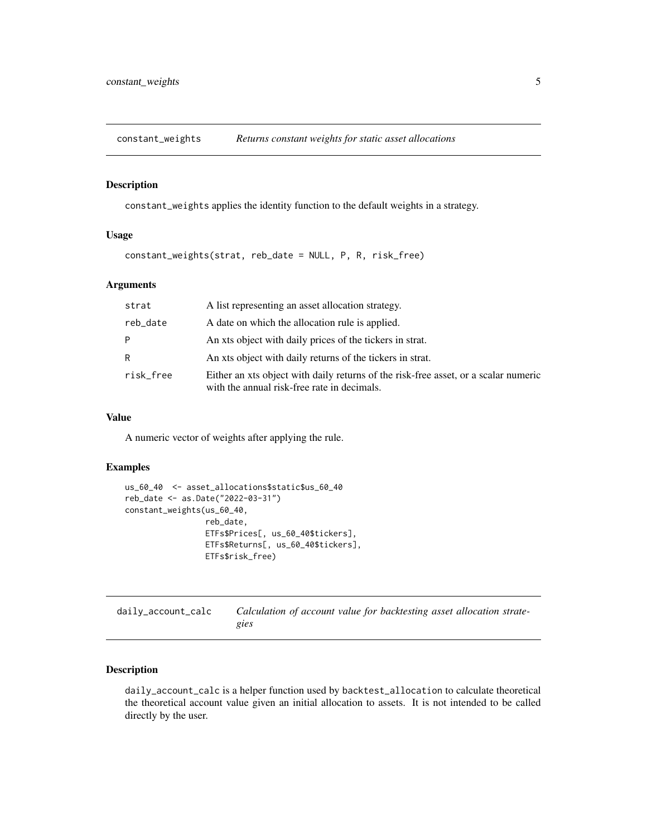<span id="page-4-0"></span>constant\_weights *Returns constant weights for static asset allocations*

#### Description

constant\_weights applies the identity function to the default weights in a strategy.

#### Usage

```
constant_weights(strat, reb_date = NULL, P, R, risk_free)
```
#### Arguments

| strat     | A list representing an asset allocation strategy.                                                                                  |
|-----------|------------------------------------------------------------------------------------------------------------------------------------|
| reb_date  | A date on which the allocation rule is applied.                                                                                    |
| P         | An xts object with daily prices of the tickers in strat.                                                                           |
| R         | An xts object with daily returns of the tickers in strat.                                                                          |
| risk_free | Either an xts object with daily returns of the risk-free asset, or a scalar numeric<br>with the annual risk-free rate in decimals. |

#### Value

A numeric vector of weights after applying the rule.

#### Examples

```
us_60_40 <- asset_allocations$static$us_60_40
reb_date <- as.Date("2022-03-31")
constant_weights(us_60_40,
                 reb_date,
                 ETFs$Prices[, us_60_40$tickers],
                 ETFs$Returns[, us_60_40$tickers],
                 ETFs$risk_free)
```

| daily_account_calc | Calculation of account value for backtesting asset allocation strate- |
|--------------------|-----------------------------------------------------------------------|
|                    | gies                                                                  |

#### Description

daily\_account\_calc is a helper function used by backtest\_allocation to calculate theoretical the theoretical account value given an initial allocation to assets. It is not intended to be called directly by the user.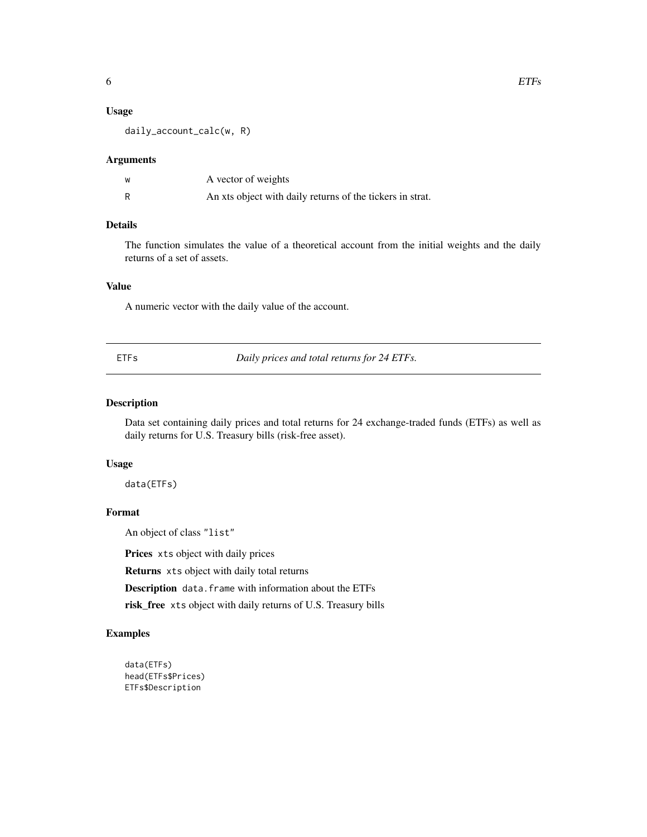#### <span id="page-5-0"></span>Usage

daily\_account\_calc(w, R)

#### Arguments

| w | A vector of weights                                       |
|---|-----------------------------------------------------------|
|   | An xts object with daily returns of the tickers in strat. |

#### Details

The function simulates the value of a theoretical account from the initial weights and the daily returns of a set of assets.

#### Value

A numeric vector with the daily value of the account.

ETFs *Daily prices and total returns for 24 ETFs.*

#### Description

Data set containing daily prices and total returns for 24 exchange-traded funds (ETFs) as well as daily returns for U.S. Treasury bills (risk-free asset).

#### Usage

data(ETFs)

#### Format

An object of class "list"

Prices xts object with daily prices

Returns xts object with daily total returns

Description data.frame with information about the ETFs

risk\_free xts object with daily returns of U.S. Treasury bills

```
data(ETFs)
head(ETFs$Prices)
ETFs$Description
```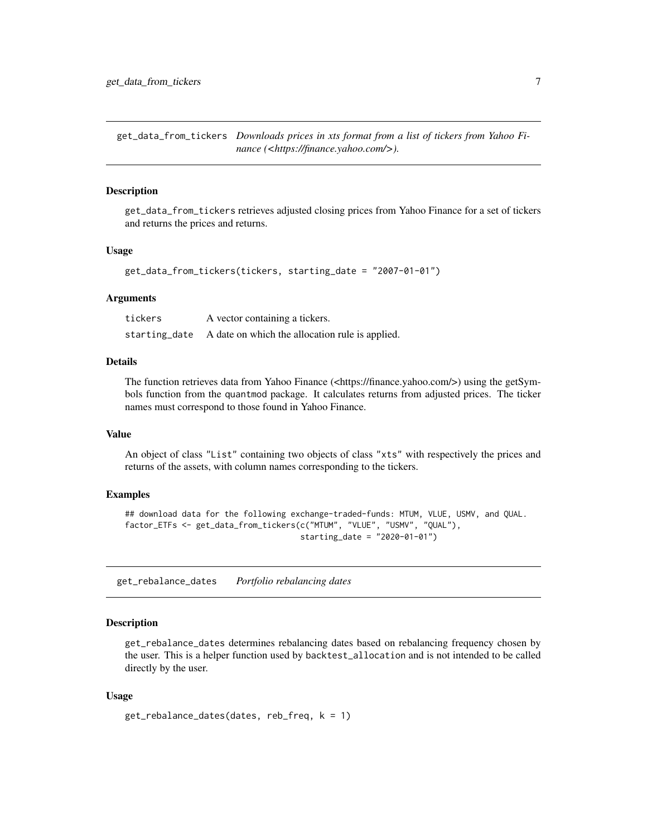<span id="page-6-0"></span>get\_data\_from\_tickers *Downloads prices in xts format from a list of tickers from Yahoo Finance (<https://finance.yahoo.com/>).*

#### Description

get\_data\_from\_tickers retrieves adjusted closing prices from Yahoo Finance for a set of tickers and returns the prices and returns.

#### Usage

```
get_data_from_tickers(tickers, starting_date = "2007-01-01")
```
#### Arguments

| tickers       | A vector containing a tickers.                  |
|---------------|-------------------------------------------------|
| starting_date | A date on which the allocation rule is applied. |

#### Details

The function retrieves data from Yahoo Finance (<https://finance.yahoo.com/>) using the getSymbols function from the quantmod package. It calculates returns from adjusted prices. The ticker names must correspond to those found in Yahoo Finance.

#### Value

An object of class "List" containing two objects of class "xts" with respectively the prices and returns of the assets, with column names corresponding to the tickers.

#### Examples

```
## download data for the following exchange-traded-funds: MTUM, VLUE, USMV, and QUAL.
factor_ETFs <- get_data_from_tickers(c("MTUM", "VLUE", "USMV", "QUAL"),
                                     starting_date = "2020-01-01")
```
get\_rebalance\_dates *Portfolio rebalancing dates*

#### **Description**

get\_rebalance\_dates determines rebalancing dates based on rebalancing frequency chosen by the user. This is a helper function used by backtest\_allocation and is not intended to be called directly by the user.

#### Usage

```
get_rebalance_dates(dates, reb_freq, k = 1)
```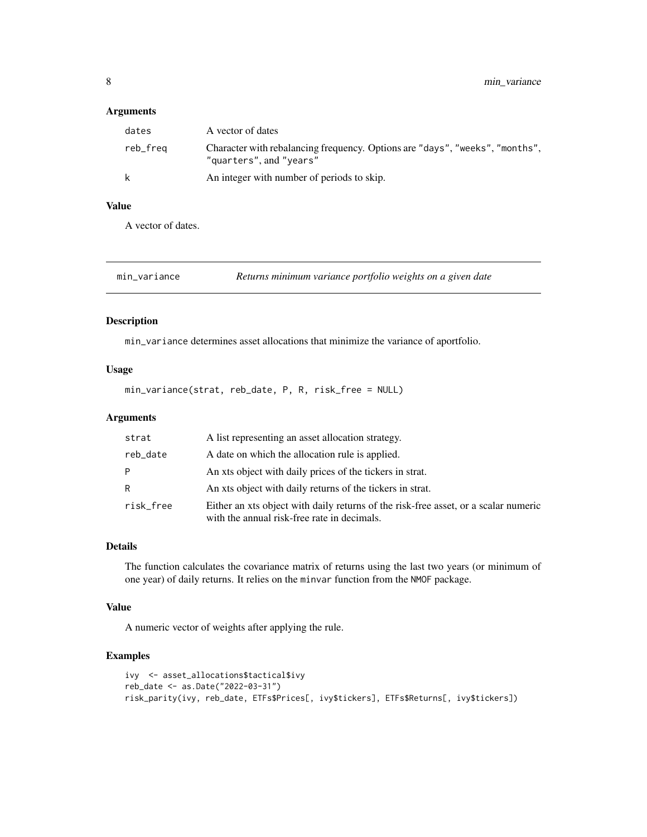#### <span id="page-7-0"></span>Arguments

| dates    | A vector of dates                                                                                       |
|----------|---------------------------------------------------------------------------------------------------------|
| reb_freq | Character with rebalancing frequency. Options are "days", "weeks", "months",<br>"quarters", and "years" |
| k        | An integer with number of periods to skip.                                                              |

#### Value

A vector of dates.

min\_variance *Returns minimum variance portfolio weights on a given date*

#### Description

min\_variance determines asset allocations that minimize the variance of aportfolio.

#### Usage

min\_variance(strat, reb\_date, P, R, risk\_free = NULL)

#### Arguments

| strat     | A list representing an asset allocation strategy.                                                                                  |
|-----------|------------------------------------------------------------------------------------------------------------------------------------|
| reb_date  | A date on which the allocation rule is applied.                                                                                    |
| P         | An xts object with daily prices of the tickers in strat.                                                                           |
| R         | An xts object with daily returns of the tickers in strat.                                                                          |
| risk_free | Either an xts object with daily returns of the risk-free asset, or a scalar numeric<br>with the annual risk-free rate in decimals. |

#### Details

The function calculates the covariance matrix of returns using the last two years (or minimum of one year) of daily returns. It relies on the minvar function from the NMOF package.

#### Value

A numeric vector of weights after applying the rule.

```
ivy <- asset_allocations$tactical$ivy
reb_date <- as.Date("2022-03-31")
risk_parity(ivy, reb_date, ETFs$Prices[, ivy$tickers], ETFs$Returns[, ivy$tickers])
```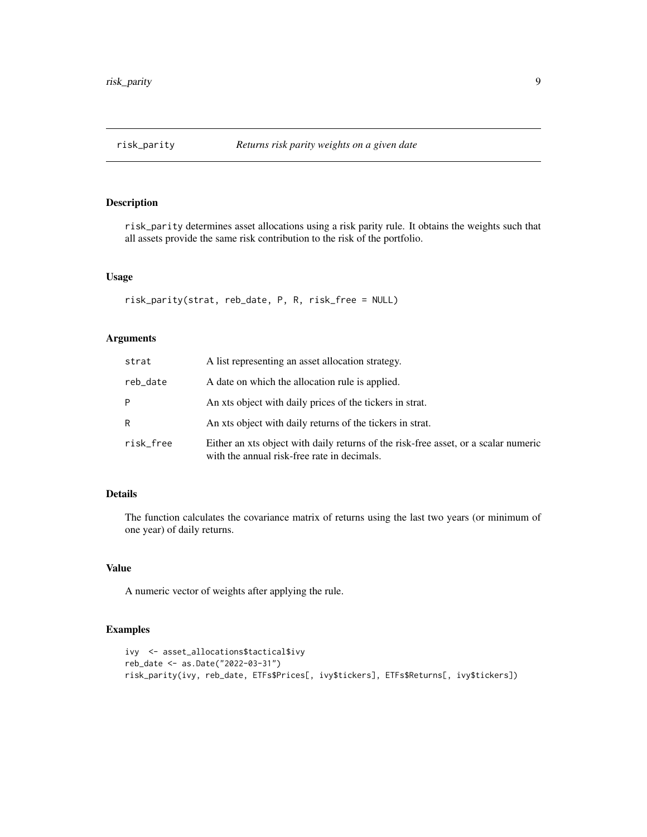<span id="page-8-0"></span>

risk\_parity determines asset allocations using a risk parity rule. It obtains the weights such that all assets provide the same risk contribution to the risk of the portfolio.

#### Usage

risk\_parity(strat, reb\_date, P, R, risk\_free = NULL)

#### Arguments

| strat     | A list representing an asset allocation strategy.                                                                                  |
|-----------|------------------------------------------------------------------------------------------------------------------------------------|
| reb date  | A date on which the allocation rule is applied.                                                                                    |
| P         | An xts object with daily prices of the tickers in strat.                                                                           |
| R         | An xts object with daily returns of the tickers in strat.                                                                          |
| risk_free | Either an xts object with daily returns of the risk-free asset, or a scalar numeric<br>with the annual risk-free rate in decimals. |

#### Details

The function calculates the covariance matrix of returns using the last two years (or minimum of one year) of daily returns.

#### Value

A numeric vector of weights after applying the rule.

```
ivy <- asset_allocations$tactical$ivy
reb_date <- as.Date("2022-03-31")
risk_parity(ivy, reb_date, ETFs$Prices[, ivy$tickers], ETFs$Returns[, ivy$tickers])
```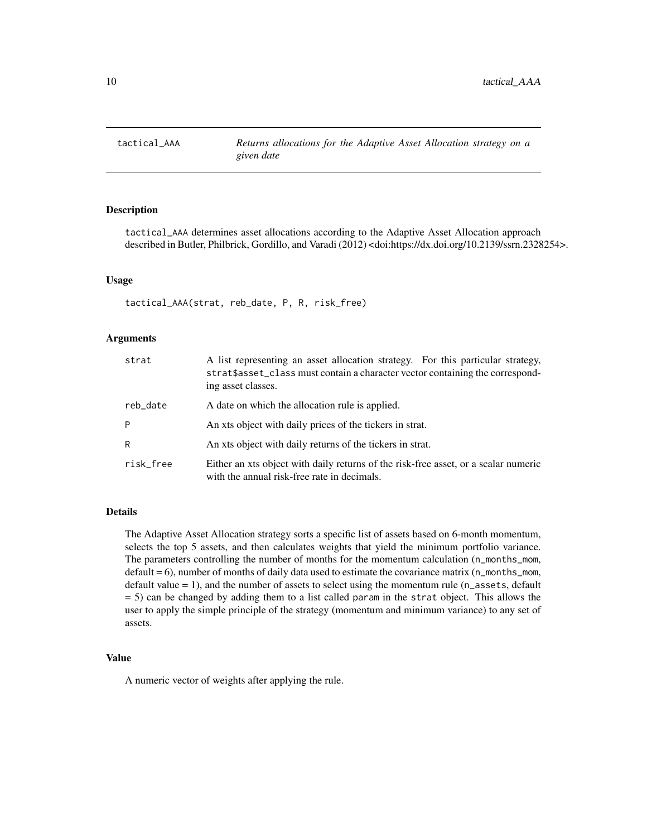<span id="page-9-0"></span>

tactical\_AAA determines asset allocations according to the Adaptive Asset Allocation approach described in Butler, Philbrick, Gordillo, and Varadi (2012) <doi:https://dx.doi.org/10.2139/ssrn.2328254>.

#### Usage

tactical\_AAA(strat, reb\_date, P, R, risk\_free)

#### Arguments

| strat     | A list representing an asset allocation strategy. For this particular strategy,<br>strat\$asset_class must contain a character vector containing the correspond-<br>ing asset classes. |
|-----------|----------------------------------------------------------------------------------------------------------------------------------------------------------------------------------------|
| reb_date  | A date on which the allocation rule is applied.                                                                                                                                        |
| P         | An xts object with daily prices of the tickers in strat.                                                                                                                               |
| R         | An xts object with daily returns of the tickers in strat.                                                                                                                              |
| risk_free | Either an xts object with daily returns of the risk-free asset, or a scalar numeric<br>with the annual risk-free rate in decimals.                                                     |

#### Details

The Adaptive Asset Allocation strategy sorts a specific list of assets based on 6-month momentum, selects the top 5 assets, and then calculates weights that yield the minimum portfolio variance. The parameters controlling the number of months for the momentum calculation (n\_months\_mom,  $default = 6$ ), number of months of daily data used to estimate the covariance matrix  $(n_{\text{model}} - m_{\text{model}})$ default value = 1), and the number of assets to select using the momentum rule (n\_assets, default = 5) can be changed by adding them to a list called param in the strat object. This allows the user to apply the simple principle of the strategy (momentum and minimum variance) to any set of assets.

#### Value

A numeric vector of weights after applying the rule.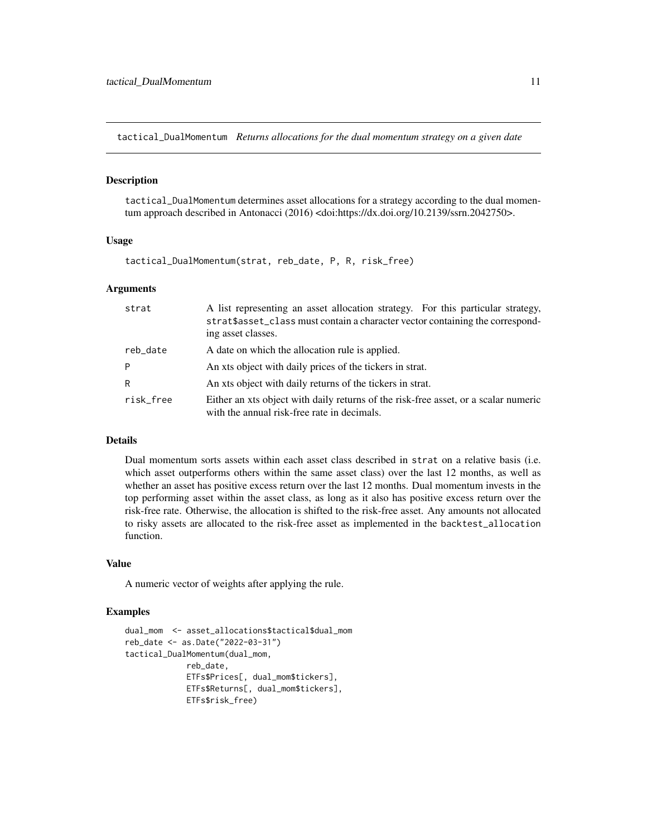<span id="page-10-0"></span>tactical\_DualMomentum *Returns allocations for the dual momentum strategy on a given date*

#### Description

tactical\_DualMomentum determines asset allocations for a strategy according to the dual momentum approach described in Antonacci (2016) <doi:https://dx.doi.org/10.2139/ssrn.2042750>.

#### Usage

tactical\_DualMomentum(strat, reb\_date, P, R, risk\_free)

#### **Arguments**

| strat     | A list representing an asset allocation strategy. For this particular strategy,<br>strat\$asset_class must contain a character vector containing the correspond-<br>ing asset classes. |
|-----------|----------------------------------------------------------------------------------------------------------------------------------------------------------------------------------------|
| reb_date  | A date on which the allocation rule is applied.                                                                                                                                        |
| P         | An xts object with daily prices of the tickers in strat.                                                                                                                               |
| R         | An xts object with daily returns of the tickers in strat.                                                                                                                              |
| risk_free | Either an xts object with daily returns of the risk-free asset, or a scalar numeric<br>with the annual risk-free rate in decimals.                                                     |

#### Details

Dual momentum sorts assets within each asset class described in strat on a relative basis (i.e. which asset outperforms others within the same asset class) over the last 12 months, as well as whether an asset has positive excess return over the last 12 months. Dual momentum invests in the top performing asset within the asset class, as long as it also has positive excess return over the risk-free rate. Otherwise, the allocation is shifted to the risk-free asset. Any amounts not allocated to risky assets are allocated to the risk-free asset as implemented in the backtest\_allocation function.

#### Value

A numeric vector of weights after applying the rule.

```
dual_mom <- asset_allocations$tactical$dual_mom
reb_date <- as.Date("2022-03-31")
tactical_DualMomentum(dual_mom,
            reb_date,
            ETFs$Prices[, dual_mom$tickers],
            ETFs$Returns[, dual_mom$tickers],
            ETFs$risk_free)
```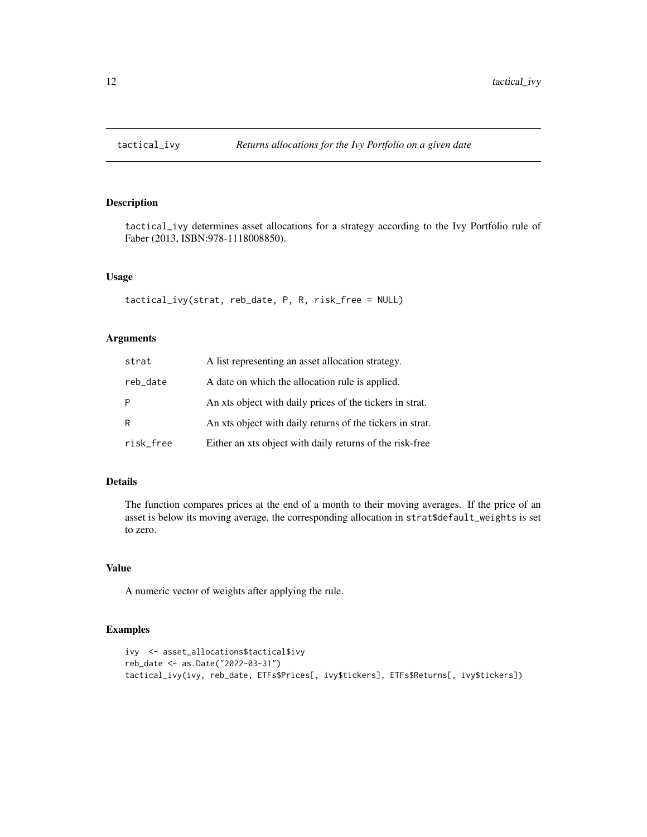<span id="page-11-0"></span>

tactical\_ivy determines asset allocations for a strategy according to the Ivy Portfolio rule of Faber (2013, ISBN:978-1118008850).

#### Usage

```
tactical_ivy(strat, reb_date, P, R, risk_free = NULL)
```
#### Arguments

| strat     | A list representing an asset allocation strategy.         |
|-----------|-----------------------------------------------------------|
| reb_date  | A date on which the allocation rule is applied.           |
| P         | An xts object with daily prices of the tickers in strat.  |
| R         | An xts object with daily returns of the tickers in strat. |
| risk_free | Either an xts object with daily returns of the risk-free  |

#### Details

The function compares prices at the end of a month to their moving averages. If the price of an asset is below its moving average, the corresponding allocation in strat\$default\_weights is set to zero.

#### Value

A numeric vector of weights after applying the rule.

```
ivy <- asset_allocations$tactical$ivy
reb_date <- as.Date("2022-03-31")
tactical_ivy(ivy, reb_date, ETFs$Prices[, ivy$tickers], ETFs$Returns[, ivy$tickers])
```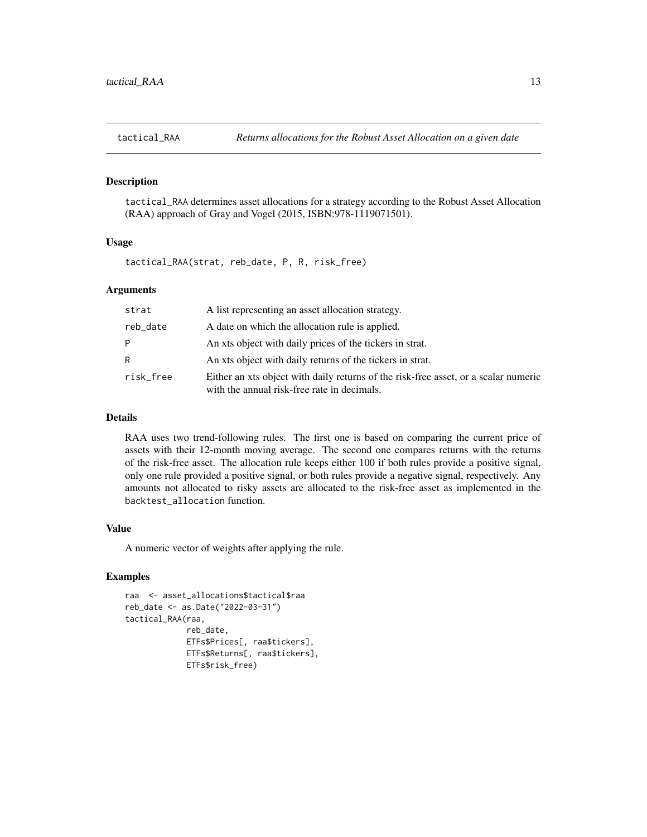<span id="page-12-0"></span>

tactical\_RAA determines asset allocations for a strategy according to the Robust Asset Allocation (RAA) approach of Gray and Vogel (2015, ISBN:978-1119071501).

#### Usage

tactical\_RAA(strat, reb\_date, P, R, risk\_free)

#### Arguments

| strat     | A list representing an asset allocation strategy.                                                                                  |
|-----------|------------------------------------------------------------------------------------------------------------------------------------|
| reb_date  | A date on which the allocation rule is applied.                                                                                    |
| P         | An xts object with daily prices of the tickers in strat.                                                                           |
| R         | An xts object with daily returns of the tickers in strat.                                                                          |
| risk_free | Either an xts object with daily returns of the risk-free asset, or a scalar numeric<br>with the annual risk-free rate in decimals. |

#### Details

RAA uses two trend-following rules. The first one is based on comparing the current price of assets with their 12-month moving average. The second one compares returns with the returns of the risk-free asset. The allocation rule keeps either 100 if both rules provide a positive signal, only one rule provided a positive signal, or both rules provide a negative signal, respectively. Any amounts not allocated to risky assets are allocated to the risk-free asset as implemented in the backtest\_allocation function.

#### Value

A numeric vector of weights after applying the rule.

```
raa <- asset_allocations$tactical$raa
reb_date <- as.Date("2022-03-31")
tactical_RAA(raa,
             reb_date,
             ETFs$Prices[, raa$tickers],
             ETFs$Returns[, raa$tickers],
             ETFs$risk_free)
```